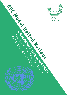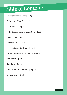# Table of Contents

Letters From the Chairs | Pg. 3

Definition of Key Terms | Pg. 4

Information | Pg. 5

- Background and Introduction | Pg. 5
- Key Issues | Pg. 5
- Status Quo | Pg. 5
- Timeline of Key Events | Pg. 6

• Stances of Major Parties Involved | Pg. 7

Past Actions | Pg. 10

Solutions | Pg. 10

• Questions to Consider | Pg. 10

Bibliography | Pg. 11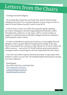# Letters from the Chairs

Greetings honorable delegates,

We are Ryan Pak, Daniel Son, and Emily Park, all from North London Collegiate School Jeju. It is our greatest pleasure to be serving you as the cochairs of United Nations Security Council in Jeju MUN.

In the Security Council, you will be discussing the agenda regarding the violence taking place amid the longstanding Israel-Palestine conflict. Throughout the conference, we, the chairs, will try our best to help you engage in a fruitful discussion with fellow delegates and devise resolutions entertaining the matter at hand.

In order to yield effective and practical solutions, we thoroughly advise all delegates to have acquired sufficient background knowledge on the topic. When researching for the conference, make efficient use of various online and offline resources -- such as the CIA World Factbook, government statistics, newspaper articles, research papers, and most importantly this chair report.

If you have any further inquiries about the procedure or topic, please don't hesitate to contact us at any time. We wholeheartedly look forward to meeting you at the conference!

Kind Regards, Ryan Pak, Daniel Son, and Emily Park msson20@pupils.nlcsjeju.kr wypark20@pupils.nlcsjeju.kr jhpak20@pupils.nlcsjeju.kr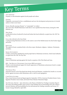## Key Terms

#### ANTI-SEMITISM

Prejudice or discrimination against Jewish people and culture.

#### Zionism

Originally a movement for the re-establishment and now the development and protection of a Jewish nation in what is now Israel.

Nakba (literally meaning "disaster" or "catastrophe" in Arabic) The event when 700,000 Palestinian Arabs fled or were expelled from their homes, during the 1948 Palestine war.

West Bank Landlocked territory bordered by Israel and Jordan that Israel militarily occupied since the 1967 Six-Day War.

Gaza (also referred as the Gaza Strip) A self-governing Palestinian territory on the eastern coast of the Mediterranean Sea that borders Egypt and Israel.

#### **JERUSALEM**

The capital of Israel, considered holy to the three major Abrahamic religions—Judaism, Christianity, and Islam.

Israeli Settlements

Civilian communities inhabited by Israeli people built on Palestinian territories, which Israel militarily occupied since the 1967 Six-Day War.

#### **INTIFADAS**

Name of Palestinian uprising against the Israeli occupation of the West Bank and Gaza.

BDS - THE BOYCOTT, DIVESTMENT, SANCTIONS (BDS) MOVEMENT Works to end international support for Israel's oppression of Palestinians and pressure Israel to comply with international law.

#### The Israeli Wall

Separation barrier in the West Bank that divides Israel and Palestine, considered by Israelis as a security barrier against terrorism while Palestinians call it a wall of racial segregation.

#### Camp David Accords

Peace treaty between Israel and Egypt signed in September 1978 by American President Jimmy Carter, Egyptian President Anwar Sadat, and Israeli Prime Minister Menachem Begin.

THE MITCHELL REPORT - (also referred to as the Sharm el-Sheikh Fact-Finding Committee Report) The report describing possible causes of the al-Aqsa Intifada and recommending end to the violence between Palestine and Israel published by the international fact-finding committee and former US Senator George Mitchell in April 2001.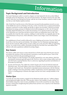## Information

## **Topic Background and Introduction**

The Israeli-Palestinian conflict is rooted in a dispute over land claimed by the Jews as their biblical birthright and by the Palestinians, who seek self-determination. The dispute started in the early 20th century, when Jews were fleeing from Europe, with the rise of anti-Semitism, wanted to reside in what was then an Arab-Muslim majority territory.

After World War II and the terrors of the Holocaust, increased Jewish population moved to an area in the Middle East, known as Palestine at the time. As they viewed the area as a historical homeland, migration continued to escalate rapidly, specifically in regions near Jerusalem. With the increasing populations becoming a pressure to Palestine by the Jewish immigrants, in 1947, the UN General Assembly adopted Resolution 181 to call for the formation of two separate Jewish and Arab states in the Palestinian area. Israel then decided to declare itself as an independent state in 1948. They successfully drove back the other countries, enabling it to take land that was originally taken for the Arab Palestinians in the process, which ultimately created a mass refugee crisis in the Palestinian region.

The establishment of Israel would be followed by years of fighting and terrorism, from the 1948 Arab-Israeli War to the First and Second Intifadas. The intifadas were two Palestinian uprisings against Israel, the first in the late 1980s and the second is widely seen as the end of the 1990s era negotiating process. As a result of such conflicts, thousands of people have lost their lives, and millions have suffered, with entire populations suddenly becoming refugees.

## **Key Issues**

The intense conflict and various or many internal forces of both states mean that the peace process necessitates the assistance of the international community to seek the path for peace. Some of the critical issues involved in the peacemaking process are:

- 1. Border Disputes: In 1948, Resolution 181 initially requested for a two-state solution, which the international community generally agreed with. However, with so many arising conflicts and wars, and with Israel occupying Palestine, there is controversy regarding the position and definition of the borders for both states.
- 2. Security and Terrorism: The conflict has created a brutal cycle of wars for both the Israeli and Palestinian states. The Israeli military seizes areas of Palestine to protect its territories taken over during the Arab-Israeli wars. This had led to intensified tensions and pressure with the Palestine people, resulting in insecurity and further conflicts. Furthermore, terrorist organizations, such as Hamas, is a leading group in Palestine that targets and fires into Israel, causing instability in the region.

## **Status Quo**

Currently, the Gaza Strip remains a tragedy for the Palestinian people with over 7 million refugees, and unemployment higher than 40%. With sporadic violence, inaccessibility of water, and fear of a third Intifada rising from a lack of action, possibilities of war revolve around the two states. Hamas has been continuously strengthening their political basis and have won a majority in the Palestinian legislative assembly.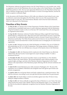The Palestinian Authority has gained entrance into the United Nations as a non-member state, which is a significant victory for the Palestinians who now have a place in the United Nations, who originally drafted the partition in 1947. The two most vigorously debated areas are the West Bank and the Gaza strip, as Palestine strongly believes that the West Bank is a section of sovereign Palestine, and that the Israeli occupation is ultimately illegal.

At the discussions with President Obama in 2010, talks were delayed as Israel refused to put a stop to settlement construction throughout the West Bank, which was one of the top priorities of the Palestine people. In early 2017, the United Nations officially voted to ban the Israeli settlements, which was a big step for the Palestinians.

## **Timeline of Key Events**

- On **May 19, 2011**, at a speech in the US State Department, President Obama of the United States "pressed Israel, in unusually frank terms, to reach a final peace agreement with the Palestinians, citing the boundaries in place on the eve of the June 1967 Arab-Israeli War as the starting point for negotiation about borders.
- On **Sep. 20, 2011**, Palestinian Authority President Mahmoud Abbas sought full United Nations Membership for a Palestinian State. Abbas discussed with United Nations Secretary-General Ban Ki-moon that "he would press ahead with plans to ask for a Security Council vote on Friday on Palestinian membership." The White House underscored its threat to veto any Palestinian move at the Security Council and stated that it would concentrate more on bringing the two states back to negotiations.
- On **Oct. 31, 2011**, Palestine became the 195th Full Member of UNESCO. The vote of UNESCO's full membership was 107 to 14, with 52 abstentions. The foreign minister of Palestine, Riad al-Malki, claimed that "this vote will help erase a tiny part of the injustice done to the Palestinian people."
- On **November 11, 2011**, the Palestinian bid for statehood at the United Nations was effectively stalled Friday after the Security Council approved a report stating its inability "to make a unanimous decision".
- On **November 29, 2012**, The General Assembly voted to accept Palestine as a Non-Member Observer State in the United Nations. This elevated Palestine's status without prejudice to the acquired rights, privileges, and roles of the Palestine Liberation Organization in the United Nations as the representative of the Palestinian people, following with the relevant resolutions and practice.
- On **July 29, 2013**, Israeli-Palestinian peace talks resumed in Washington, DC. The aim of the negotiation was to establish a Palestinian state alongside Israel with agreed-upon borders and security arrangements.
- On **April 23, 2014**, the rival groups Hamas and Fatah combined into a united government. They held new elections, overcoming a seven-year split that left them divided into two governments.
- On **July 8, 2014**, the Israeli military carried out airstrikes against more than 150 sites in Gaza, killing five alleged members of Hamas.
- On **May 13, 2015**, the Vatican officially recognized the State of Palestine in a new Treaty. The treaty, which involves the actions of the Catholic Church in the Palestinian region, is very symbolic that the Holy See has altered its diplomatic recognition from the Palestine Liberation Organization to the state.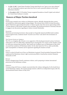- On **Feb. 15, 2017**, United States President Trump stated that he was "open to one-state solutions" and "he is keeping his options open about how best to reach a peaceful solution in the Israeli-Palestinian situation."
- On **December 6, 2017**, US President Trump recognised Jerusalem as Israel's Capital, and ordered the United States Embassy to transfer.

## **Stances of Major Parties Involved**

#### Israel

Israeli troops routinely exert violence on Palestinian citizens, officially claiming that their actions are justified law enforcement against rioting refugees. The extreme form of this is its hard-line policy against Palestinians approaching the border, in which it openly states that anyone approaching within a certain distance of the border would be shot and killed. The Israeli government is extremely reluctant to engage in any discussions regarding its violence towards Palestinians.

#### **PALESTINE**

Palestinian provisional government, whose people are frequently injured and killed amid countless protests against Israel, condemns Israel's "excessive use of force" and calls for the termination of violence.

#### THE UNITED STATES OF AMERICA

The USA, as a longtime ally of Israel, is very supportive of the Israeli government's actions. Its former ambassador to the UN, Nikki Haley, defended Israel, asserting that "No country in this chamber would act with more restraint than Israel has" after Israel's use of military force on Palestinians in May 2018, an assault that resulted in 58 Palestinian deaths. On the other hand, the USA is, rather predictably, quite unsympathetic to Palestine and its arguments regarding the situation at hand.

#### France

France is critical of Israel's use of force on Palestinians in general. French president Emmanuel Macron emphasised the Palestinian citizens' right to protest peacefully to Israeli prime minister Benjamin Netanyahu in 2018.

#### **KUWAIT**

Kuwait is disapproving of Israel's continuous violence, and is preparing to initiate international protection for the Palestinian civilians.

#### **GERMANY**

Germany, along with France, is deeply concerned about the violence taking place by the Israeli forces on the Palestinian civilians. The German foreign ministry called for an independent inquiry after the aforementioned Israeli violence of May 2018.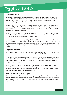## Past Actions

## **Partition Plan**

The United Nations Partition Plan for Palestine was a proposal which advocated a partition with Economic Union of Mandatory Palestine to act in accordance with the termination of the British Mandate. On 29 November 1947, the United Nations General Assembly passed a resolution commending the application of the Plan as Resolution 181.

The resolution suggested the establishment of independent Arab and Jewish States and the Special International Regime for the City of Jerusalem. The Partition Plan specifically supported the termination of the Mandate, the withdrawal of British military forces and the definition of borders between the two States and Jerusalem.

The plan attempted to tackle the objectives and assertions of the Arab nationalism in Palestine and the Jewish nationalism (Zionism). The Plan also specified for Economic Union between the proposed states, and for the support of religious and minority rights.

While the Plan was adopted by the Jewish public, the Arab leaders and the government discarded the plan and declared reluctance in accepting any procedure for territorial allocation. They argued that it infringed upon the foundation of self-determination in the United Nations charter. As the civil war took place immediately after the appointment of the Resolution, the Partition Plan was ultimately not enacted.

## **Right of Return**

The Palestinians' central idea behind the peace negotiations is justness towards the refugees, by giving them them the "right of return" to the homes their families deserted in 1948.

On the other hand, Israel cannot accept the "right of return" without abandoning either its Jewish or democratic identity. Increasing 7 million Arabs to the population of Israel would cause the Jews to become a minority, which ultimately is the reason for not considering to include the "right of return" in any of the compromises.

The principal point of discussion involves how to find an appropriate method to achieve justice for the refugees that both the Israeli and Palestinian people can agree to. Some ideas that have been currently mentioned revolve around compensation and resettlement, but the two leaders have not officially reached an agreement on how such strategies could work.

## **The UN Relief Works Agency**

The United Nations Relief Works Agency (UNRWA) is in charge of providing humanitarian aid and support for the Palestinian refugees. UNRWA has developed education, health and social services to over 5 million refugees living in Jordan, Lebanon, Syria, and regions of Palestine, such as the Gaza Strip and the West Bank.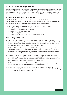### **Non-Government Organizations**

Other than the United Nations, various non-governmental organizations (NGOs) attempt to deal with the Israeli-Palestinian conflict. For instance, NGO Breaking the Silence includes "veteran combatants who have served in the Israeli military since the start of the Second Intifada, and have taken it upon themselves to expose the Israeli public to the reality of everyday life in the Occupied Territories."

## **United Nations Security Council**

In the United Nations Security Council, the 2009 Resolution 1860 "called for immediate, durable and fully respected ceasefire leading to the full withdrawal of Israeli forces from Gaza." In September 2012, the President of the Security Council discussed efforts to begin peace talks again.

Other important resolutions which have been passed by the United Nations include:

- 1. Resolution 181 (Future government of Palestine)
- 2. Resolution 242 (aftermath of the Six-Day War)
- 3. Resolution 333 (the Yom Kippur War)
- 4. Resolution 338 (1973)
- 5. Resolution 3236 (Palestinian people's right to self-determination)

### **Peace Negotiations**

- Oslo Accord (1993) is officially known as the Declaration of Principles on Interim Self-Government Arrangements, which was an attempt to establish a framework that would lead to the resolution of the ongoing Israeli-Palestinian conflict. It was the first face-to-face accord between the government of Israel and the Palestine Liberation Organization.
- The Israeli-Palestinian Interim Agreement (28 Sept 1995) regarding the Gaza Strip and West Bank was signed in Washington by Yitzhak Rabin and Yasser Arafat. Also known as Oslo 2, it planned the foundation of "Palestinian interim self-government in the Palestinian territories but did not promise an independent Palestinian state."
- Road Map for Peace (2003) was a scheme to find a solution to the Israeli-Palestinian conflict, proposed by the Quartet on the Middle East: the United States, the European Union, Russia and the United Nations. The proposal for a two-state solution was not completely effective as the Road Map was in difficulty from the early stages, and violence proceeded.
- The Geneva Accord tries to deal with the problem differently, where the "growth of security and confidence precede a political agreement and puts the agreement first."
- United States-mediated talks restarted in July 2013, but was delayed in April 2014 when Israel reclined to carry out prisoner releases unless it was given assurances that the Palestinian leadership would continue the talks even after that month.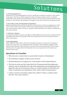# Solutions

#### 1. UN Peacekeeping Forces

Deployment of UN peacekeeping forces may be considered as a temporary measure to stop violence in the region. These forces will be situated in locations of frequent violence and try to minimise clashes between the Israelis and the Palestinians. However, any involvement of the armed forces must be done in a way that does not infringe the sovereignty of any nation involved in the agenda at hand.

#### 2. Non-Violence Treaty Through Regional Organisation

Regional mediating nations and the two directly involved nations can form an organisation in which a non-violence treaty can be produced. Effectively and appropriately incentivising both parties not only to stop authority violence but also to properly control intermittent civil violence would be key to this course of action.

#### 3. "Soft Power" Solutions

As a long-term solution, measures to bridge the cultural differences between the two peoples (Israelis and Palestinians) and at least partially resolve their mutual hatred can be devised and executed to relieve some tension.

#### 4. Two-State Solution

The so-called two-state solution calls for the principle of having two countries for two groups of people. This means that a new, independent state of Palestine, with the official recognition of the international community, will be formed in a portion of the current Israeli realms. This most basic solution tends to be supported by the Palestinians (who want separation from the Israeli), and detested by the Israeli.

### **Questions to Consider**

- What has your country done to assist either Israelis or Palestinians?
- Do Palestinian refugees reside in your country?
- Should Palestine be recognized as a full member of the United Nations?
- The Oslo Accords and the Camp David I & II demonstrated that diplomatic solution may be attainable, but only with negotiations and mediating parties. Egypt has also served numerous times as an intermediary for Palestine and Israel. Is mediation and negotiation still a viable vehicle towards peace?
- Is there room for innovation within this conflict? Is there a solution other than the "two-state solution"?